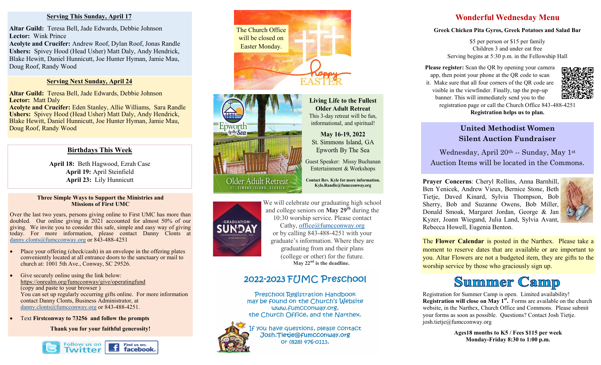#### **Serving This Sunday, April 17**

**Altar Guild:** Teresa Bell, Jade Edwards, Debbie Johnson **Lector:** Wink Prince

**Acolyte and Crucifer:** Andrew Roof, Dylan Roof, Jonas Randle **Ushers:** Spivey Hood (Head Usher) Matt Daly, Andy Hendrick, Blake Hewitt, Daniel Hunnicutt, Joe Hunter Hyman, Jamie Mau, Doug Roof, Randy Wood

#### **Serving Next Sunday, April 24**

**Altar Guild:** Teresa Bell, Jade Edwards, Debbie Johnson **Lector:** Matt Daly

**Acolyte and Crucifer:** Eden Stanley, Allie Williams, Sara Randle **Ushers:** Spivey Hood (Head Usher) Matt Daly, Andy Hendrick, Blake Hewitt, Daniel Hunnicutt, Joe Hunter Hyman, Jamie Mau, Doug Roof, Randy Wood

#### **Birthdays This Week**

**April 18:** Beth Hagwood, Ezrah Case **April 19:** April Steinfield **April 23:** Lily Hunnicutt

#### **Three Simple Ways to Support the Ministries and Missions of First UMC**

Over the last two years, persons giving online to First UMC has more than doubled. Our online giving in 2021 accounted for almost 50% of our giving. We invite you to consider this safe, simple and easy way of giving today. For more information, please contact Danny Clonts at [danny.clonts@fumcconway.org](mailto:danny.clonts@fumcconway.org) or 843-488-4251

- Place your offering (check/cash) in an envelope in the offering plates conveniently located at all entrance doors to the sanctuary or mail to church at: 1001 5th Ave., Conway, SC 29526.
- Give securely online using the link below: <https://onrealm.org/fumcconway/give/operatingfund> (copy and paste to your browser ) You can set up regularly occurring gifts online. For more information contact Danny Clonts, Business Administrator, at [danny.clonts@fumcconway.org](mailto:danny.clonts@fumcconway.org) or 843-488-4251.
- Text **Firstconway to 73256 and follow the prompts**

**Thank you for your faithful generosity!** 







-GRADUATION-

We will celebrate our graduating high school and college seniors on **May 29th** during the 10:30 worship service. Please contact Cathy, [office@fumcconway.org](mailto:office@fumcconway.org) or by calling 843-488-4251 with your graduate's information. Where they are graduating from and their plans (college or other) for the future. **May 22nd is the deadline.** 

**Living Life to the Fullest Older Adult Retreat** This 3-day retreat will be fun. informational, and spiritual!

May 16-19, 2022 St. Simmons Island, GA Epworth By The Sea Guest Speaker: Missy Buchanan Entertainment & Workshops Contact Rev. Kyle for more information.

Kyle.Randle@fumcconway.org

# 2022-2023 FUMC Preschool

Preschool Registration Handbook may be found on the Church's Website www.fumcconway.org. the Church Office, and the Narthex.



If you have questions, please contact Josh.Tietje@fumcconway.org Or (828) 476-0113.

## **Wonderful Wednesday Menu**

#### **Greek Chicken Pita Gyros, Greek Potatoes and Salad Bar**

\$5 per person or \$15 per family Children 3 and under eat free Serving begins at 5:30 p.m. in the Fellowship Hall

**Please register:** Scan the QR by opening your camera app, then point your phone at the QR code to scan it. Make sure that all four corners of the QR code are visible in the viewfinder. Finally, tap the pop-up banner. This will immediately send you to the registration page or call the Church Office 843-488-4251 **Registration helps us to plan.**



**United Methodist Women Silent Auction Fundraiser**

Wednesday, April 20th -- Sunday, May 1st Auction Items will be located in the Commons.

**Prayer Concerns**: Cheryl Rollins, Anna Barnhill, Ben Yenicek, Andrew Vieux, Bernice Stone, Beth Tietje, Daved Kinard, Sylvia Thompson, Bob Sherry, Bob and Suzanne Owens, Bob Miller, Donald Smoak, Margaret Jordan, George & Jan Kyzer, Joann Wiegand, Julia Land, Sylvia Avant, Rebecca Howell, Eugenia Benton.



The **Flower Calendar** is posted in the Narthex. Please take a moment to reserve dates that are available or are important to you. Altar Flowers are not a budgeted item, they are gifts to the worship service by those who graciously sign up.

# **Summer Camp**

Registration for Summer Camp is open. Limited availability! **Registration will close on May 1st .** Forms are available on the church website, in the Narthex, Church Office and Commons. Please submit your forms as soon as possible. Questions? Contact Josh Tietje. josh.tietje@fumcconway.org

> **Ages18 months to K5 / Fees \$115 per week Monday-Friday 8:30 to 1:00 p.m.**